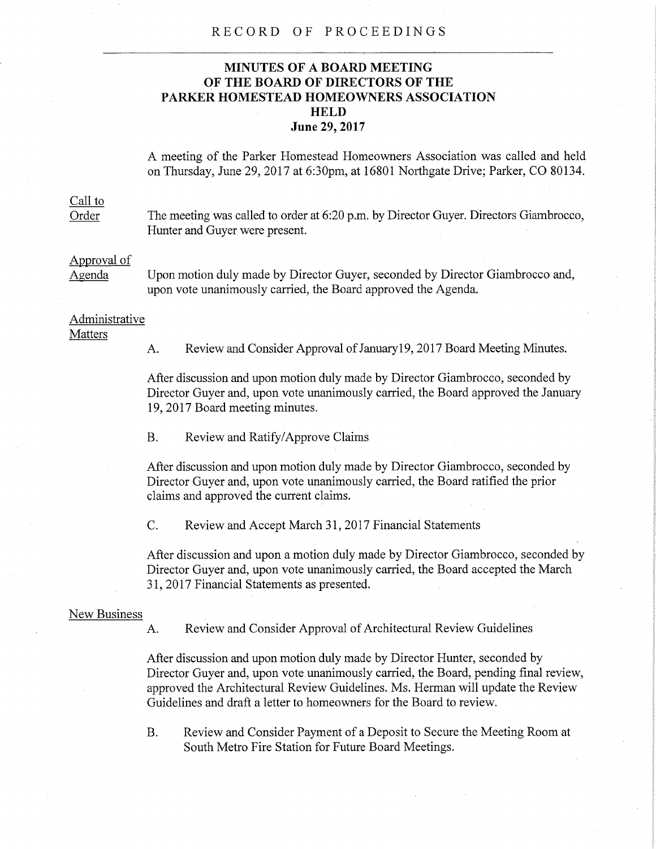#### RECORD OF PROCEEDINGS

# **MINUTES OF A BOARD MEETING OF THE BOARD OF DIRECTORS OF THE PARKER HOMESTEAD HOMEOWNERS ASSOCIATION HELD June 29, 2017**

A meeting of the Parker Homestead Homeowners Association was called and held on Thursday, June 29, 2017 at 6:30pm, at 16801 Northgate Drive; Parker, CO 80134.

# Call to

Order The meeting was called to order at 6:20 p.m. by Director Guyer. Directors Giambrocco, Hunter and Guyer were present.

# Approval of

Agenda Upon motion duly made by Director Guyer, seconded by Director Giambrocco and, upon vote unanimously carried, the Board approved the Agenda.

### Administrative **Matters**

A. Review and Consider Approval of January19, 2017 Board Meeting Minutes.

After discussion and upon motion duly made by Director Giambrocco, seconded by Director Guyer and, upon vote unanimously carried, the Board approved the January 19, 2017 Board meeting minutes.

B. Review and Ratify/Approve Claims

After discussion and upon motion duly made by Director Giambrocco, seconded by Director Guyer and, upon vote unanimously carried, the Board ratified the prior claims and approved the current claims.

C. Review and Accept March 31, 2017 Financial Statements

After discussion and upon a motion duly made by Director Giambrocco, seconded by Director Guyer and, upon vote unanimously carried, the Board accepted the March 31, 2017 Financial Statements as presented.

#### New Business

A. Review and Consider Approval of Architectural Review Guidelines

After discussion and upon motion duly made by Director Hunter, seconded by Director Guyer and, upon vote unanimously carried, the Board, pending final review, approved the Architectural Review Guidelines. Ms. Herman will update the Review Guidelines and draft a letter to homeowners for the Board to review.

B. Review and Consider Payment of a Deposit to Secure the Meeting Room at South Metro Fire Station for Future Board Meetings.